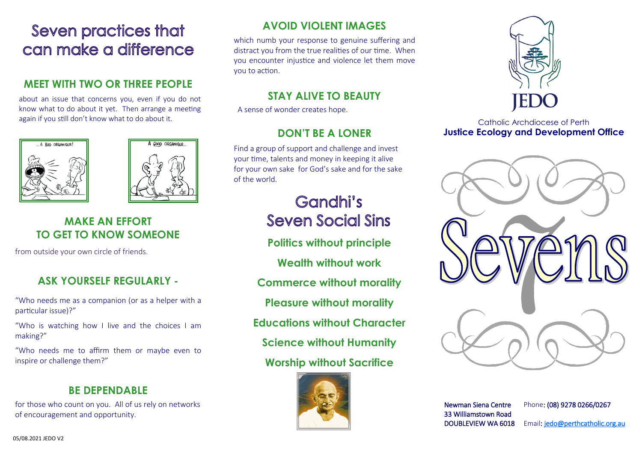## **Seven practices that** can make a difference

#### **MEET WITH TWO OR THREE PEOPLE**

about an issue that concerns you, even if you do not know what to do about it yet. Then arrange a meeting again if you still don't know what to do about it.





#### **MAKE AN EFFORT TO GET TO KNOW SOMEONE**

from outside your own circle of friends.

#### **ASK YOURSELF REGULARLY -**

"Who needs me as a companion (or as a helper with a particular issue)?"

"Who is watching how I live and the choices I am making?"

"Who needs me to affirm them or maybe even to inspire or challenge them?"

#### **BE DEPENDABLE**

for those who count on you. All of us rely on networks of encouragement and opportunity.

### **AVOID VIOLENT IMAGES**

which numb your response to genuine suffering and distract you from the true realities of our time. When you encounter injustice and violence let them move you to action.

#### **STAY ALIVE TO BEAUTY**

A sense of wonder creates hope.

#### **DON'T BE A LONER**

Find a group of support and challenge and invest your time, talents and money in keeping it alive for your own sake for God's sake and for the sake of the world.

## Gandhi's **Seven Social Sins**

**Politics without principle**

**Wealth without work**

**Commerce without morality**

**Pleasure without morality**

**Educations without Character**

**Science without Humanity** 

#### **Worship without Sacrifice**





#### Catholic Archdiocese of Perth **Justice Ecology and Development Office**



Newman Siena Centre 33 Williamstown Road DOUBLEVIEW WA 6018 Phone: (08) 9278 0266/0267

Email: jedo@perthcatholic.org.au

05/08.2021 JEDO V2